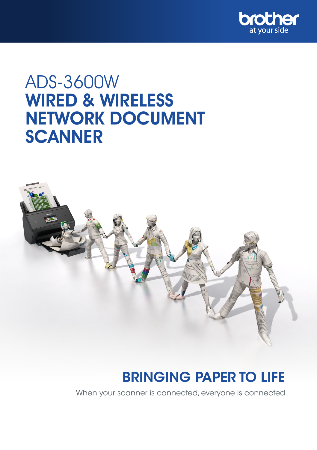

# ADS-3600W WIRED & WIRELESS NETWORK DOCUMENT **SCANNER**



## BRINGING PAPER TO LIFE

When your scanner is connected, everyone is connected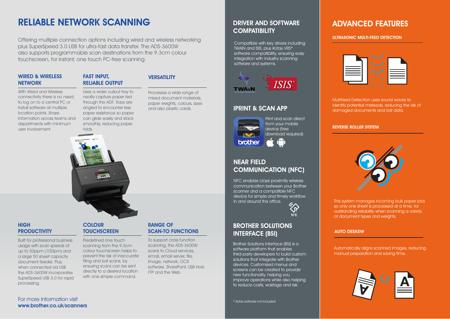## RELIABLE NETWORK SCANNING

Offering multiple connection options including wired and wireless networking plus SuperSpeed 3.0 USB for ultra-fast data transfer. The ADS-3600W also supports programmable scan destinations from the 9.3cm colour touchscreen, for instant, one touch PC-free scanning.

### WIRED & WIRELESS **NETWORK**

### FAST INPUT, RELIABLE OUTPUT

With Wired and Wireless connectivity there is no need to log on to a central PC or install software at multiple location points. Share information across teams and departments with minimum user involvement.

Uses a wider output tray to neatly capture paper fed through the ADF. Trays are angled to encounter less paper resistance so paper can glide easily and stack

smoothly, reducing paper

Processes a wide range of mixed document materials, paper weights, colours, sizes and also plastic cards.

**VERSATILITY** 



### **HIGH PRODUCTIVITY**

Built for professional business usage with scan speeds of up to 50ppm (100ipm) and a large 50 sheet capacity document feeder. Plus, when connected via USB the ADS-3600W incorporates SuperSpeed USB 3.0 for rapid processing.

## **COLOUR TOUCHSCREEN**

Predefined one touch scanning from the 9.3cm colour touchscreen helps to prevent the risk of inaccurate filing and lost scans, by ensuring scans can be sent directly to a desired location with one simple command.

### RANGE OF SCAN-TO FUNCTIONS

To support cross function scanning, the ADS-3600W scans to Cloud services, email, email server, file, image, network, OCR software, SharePoint, USB Host, FTP and the Web.

## DRIVER AND SOFTWARE **COMPATIBILITY**

integration with industry scanning<br>integration Compatible with key drivers including TWAIN and ISIS, plus Kofax VRS\* software compatibility, ensuring easy software and systems.



## IPRINT & SCAN APP



download required) brother

## NEAR FIELD COMMUNICATION (NFC)

NFC enables close proximity wireless communication between your Brother scanner and a compatible NFC device for simple and timely workflow in and around the office.

 $\zeta$ r $\gamma$ NFC

Print and scan direct from your mobile device (free

## BROTHER SOLUTIONS INTERFACE (BSI)

screens can be created to provide Brother Solutions Interface (BSI) is a software platform that enables third-party developers to build custom solutions that integrate with Brother devices. Customised menus and new functionality, helping you improve operations while also helping to reduce costs, wastage and risk.

\* Kofax software not included

## ADVANCED FEATURES

### ULTRASONIC MULTI-FEED DETECTION



Multifeed Detection uses sound waves to identify potential misfeeds, reducing the risk of damaged documents and lost data.

### REVERSE ROLLER SYSTEM



This system manages incoming bulk paper jobs so only one sheet is processed at a time, for outstanding reliability when scanning a variety of document types and weights.

### AUTO DESKEW

Automatically aligns scanned images, reducing manual preparation and saving time.



For more information visit www.brother.co.uk/scanners